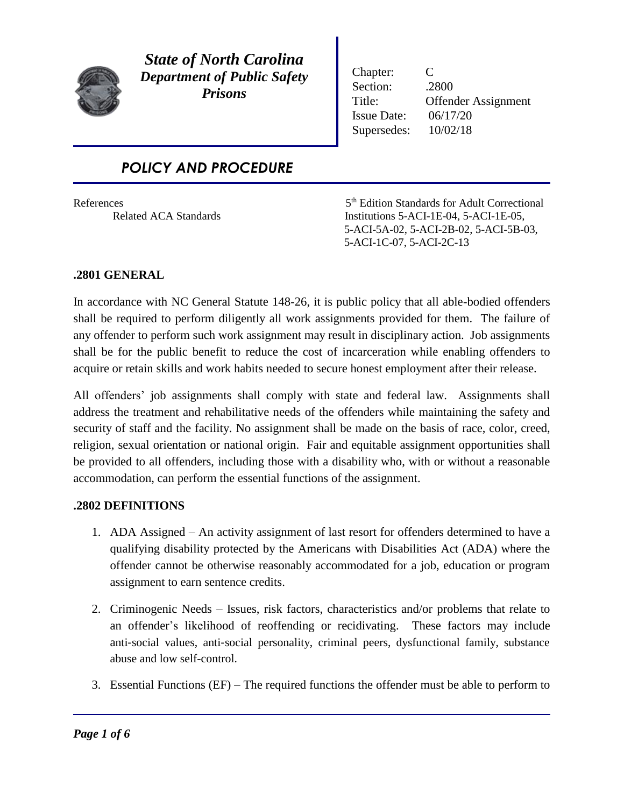

*State of North Carolina Department of Public Safety Prisons*

Chapter: C Section: .2800 Title: Offender Assignment Issue Date: 06/17/20 Supersedes: 10/02/18

# *POLICY AND PROCEDURE*

References

5<sup>th</sup> Edition Standards for Adult Correctional Related ACA Standards Institutions 5-ACI-1E-04, 5-ACI-1E-05, 5-ACI-5A-02, 5-ACI-2B-02, 5-ACI-5B-03, 5-ACI-1C-07, 5-ACI-2C-13

## **.2801 GENERAL**

In accordance with NC General Statute 148-26, it is public policy that all able-bodied offenders shall be required to perform diligently all work assignments provided for them. The failure of any offender to perform such work assignment may result in disciplinary action. Job assignments shall be for the public benefit to reduce the cost of incarceration while enabling offenders to acquire or retain skills and work habits needed to secure honest employment after their release.

All offenders' job assignments shall comply with state and federal law. Assignments shall address the treatment and rehabilitative needs of the offenders while maintaining the safety and security of staff and the facility. No assignment shall be made on the basis of race, color, creed, religion, sexual orientation or national origin. Fair and equitable assignment opportunities shall be provided to all offenders, including those with a disability who, with or without a reasonable accommodation, can perform the essential functions of the assignment.

### **.2802 DEFINITIONS**

- 1. ADA Assigned An activity assignment of last resort for offenders determined to have a qualifying disability protected by the Americans with Disabilities Act (ADA) where the offender cannot be otherwise reasonably accommodated for a job, education or program assignment to earn sentence credits.
- 2. Criminogenic Needs Issues, risk factors, characteristics and/or problems that relate to an offender's likelihood of reoffending or recidivating. These factors may include anti‐social values, anti‐social personality, criminal peers, dysfunctional family, substance abuse and low self-control.
- 3. Essential Functions (EF) The required functions the offender must be able to perform to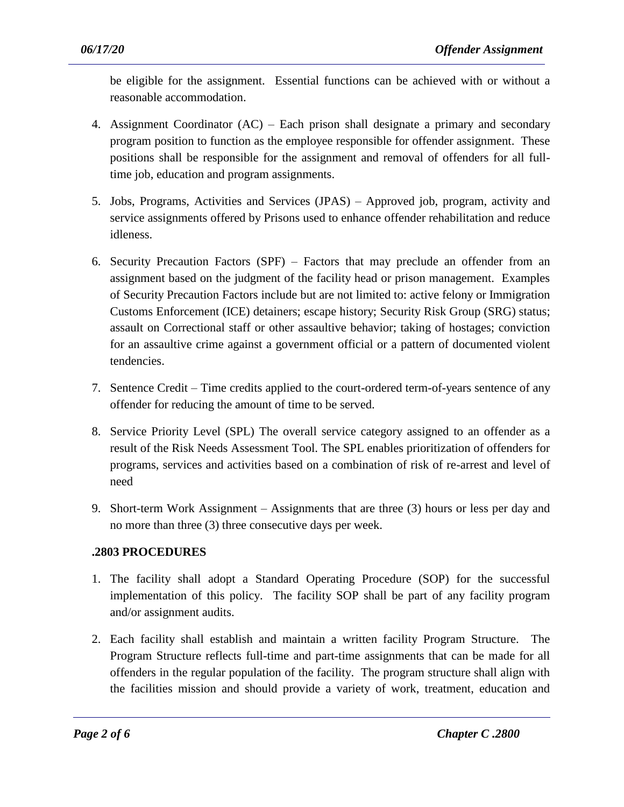be eligible for the assignment. Essential functions can be achieved with or without a reasonable accommodation.

- 4. Assignment Coordinator (AC) Each prison shall designate a primary and secondary program position to function as the employee responsible for offender assignment. These positions shall be responsible for the assignment and removal of offenders for all fulltime job, education and program assignments.
- 5. Jobs, Programs, Activities and Services (JPAS) Approved job, program, activity and service assignments offered by Prisons used to enhance offender rehabilitation and reduce idleness.
- 6. Security Precaution Factors (SPF) Factors that may preclude an offender from an assignment based on the judgment of the facility head or prison management. Examples of Security Precaution Factors include but are not limited to: active felony or Immigration Customs Enforcement (ICE) detainers; escape history; Security Risk Group (SRG) status; assault on Correctional staff or other assaultive behavior; taking of hostages; conviction for an assaultive crime against a government official or a pattern of documented violent tendencies.
- 7. Sentence Credit Time credits applied to the court-ordered term-of-years sentence of any offender for reducing the amount of time to be served.
- 8. Service Priority Level (SPL) The overall service category assigned to an offender as a result of the Risk Needs Assessment Tool. The SPL enables prioritization of offenders for programs, services and activities based on a combination of risk of re-arrest and level of need
- 9. Short-term Work Assignment Assignments that are three (3) hours or less per day and no more than three (3) three consecutive days per week.

## **.2803 PROCEDURES**

- 1. The facility shall adopt a Standard Operating Procedure (SOP) for the successful implementation of this policy. The facility SOP shall be part of any facility program and/or assignment audits.
- 2. Each facility shall establish and maintain a written facility Program Structure. The Program Structure reflects full-time and part-time assignments that can be made for all offenders in the regular population of the facility. The program structure shall align with the facilities mission and should provide a variety of work, treatment, education and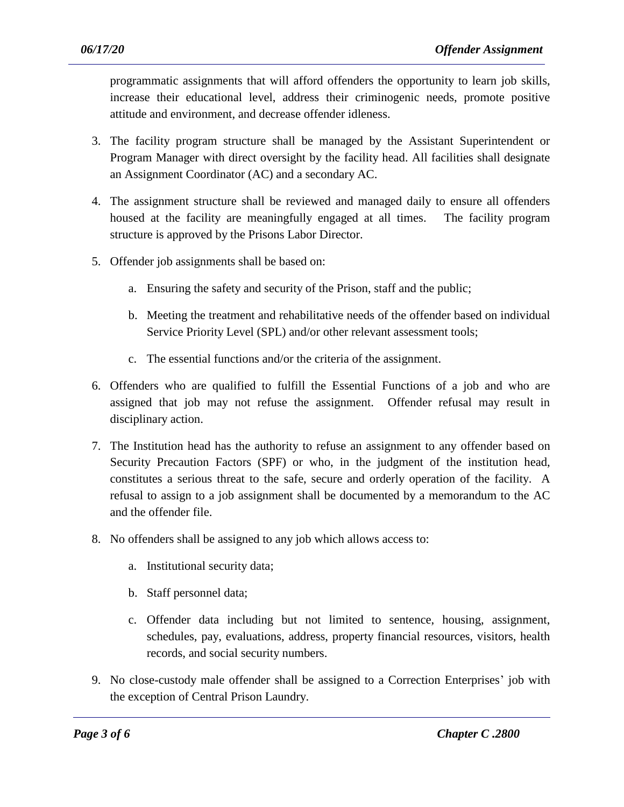programmatic assignments that will afford offenders the opportunity to learn job skills, increase their educational level, address their criminogenic needs, promote positive attitude and environment, and decrease offender idleness.

- 3. The facility program structure shall be managed by the Assistant Superintendent or Program Manager with direct oversight by the facility head. All facilities shall designate an Assignment Coordinator (AC) and a secondary AC.
- 4. The assignment structure shall be reviewed and managed daily to ensure all offenders housed at the facility are meaningfully engaged at all times. The facility program structure is approved by the Prisons Labor Director.
- 5. Offender job assignments shall be based on:
	- a. Ensuring the safety and security of the Prison, staff and the public;
	- b. Meeting the treatment and rehabilitative needs of the offender based on individual Service Priority Level (SPL) and/or other relevant assessment tools;
	- c. The essential functions and/or the criteria of the assignment.
- 6. Offenders who are qualified to fulfill the Essential Functions of a job and who are assigned that job may not refuse the assignment. Offender refusal may result in disciplinary action.
- 7. The Institution head has the authority to refuse an assignment to any offender based on Security Precaution Factors (SPF) or who, in the judgment of the institution head, constitutes a serious threat to the safe, secure and orderly operation of the facility. A refusal to assign to a job assignment shall be documented by a memorandum to the AC and the offender file.
- 8. No offenders shall be assigned to any job which allows access to:
	- a. Institutional security data;
	- b. Staff personnel data;
	- c. Offender data including but not limited to sentence, housing, assignment, schedules, pay, evaluations, address, property financial resources, visitors, health records, and social security numbers.
- 9. No close-custody male offender shall be assigned to a Correction Enterprises' job with the exception of Central Prison Laundry.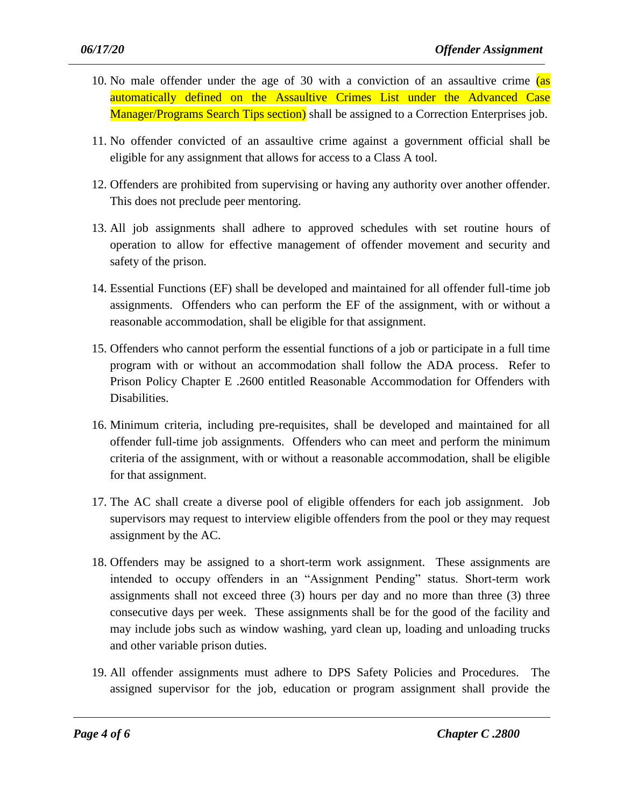- 10. No male offender under the age of 30 with a conviction of an assaultive crime (as automatically defined on the Assaultive Crimes List under the Advanced Case Manager/Programs Search Tips section) shall be assigned to a Correction Enterprises job.
- 11. No offender convicted of an assaultive crime against a government official shall be eligible for any assignment that allows for access to a Class A tool.
- 12. Offenders are prohibited from supervising or having any authority over another offender. This does not preclude peer mentoring.
- 13. All job assignments shall adhere to approved schedules with set routine hours of operation to allow for effective management of offender movement and security and safety of the prison.
- 14. Essential Functions (EF) shall be developed and maintained for all offender full-time job assignments. Offenders who can perform the EF of the assignment, with or without a reasonable accommodation, shall be eligible for that assignment.
- 15. Offenders who cannot perform the essential functions of a job or participate in a full time program with or without an accommodation shall follow the ADA process. Refer to Prison Policy Chapter E .2600 entitled Reasonable Accommodation for Offenders with Disabilities.
- 16. Minimum criteria, including pre-requisites, shall be developed and maintained for all offender full-time job assignments. Offenders who can meet and perform the minimum criteria of the assignment, with or without a reasonable accommodation, shall be eligible for that assignment.
- 17. The AC shall create a diverse pool of eligible offenders for each job assignment. Job supervisors may request to interview eligible offenders from the pool or they may request assignment by the AC.
- 18. Offenders may be assigned to a short-term work assignment. These assignments are intended to occupy offenders in an "Assignment Pending" status. Short-term work assignments shall not exceed three (3) hours per day and no more than three (3) three consecutive days per week. These assignments shall be for the good of the facility and may include jobs such as window washing, yard clean up, loading and unloading trucks and other variable prison duties.
- 19. All offender assignments must adhere to DPS Safety Policies and Procedures. The assigned supervisor for the job, education or program assignment shall provide the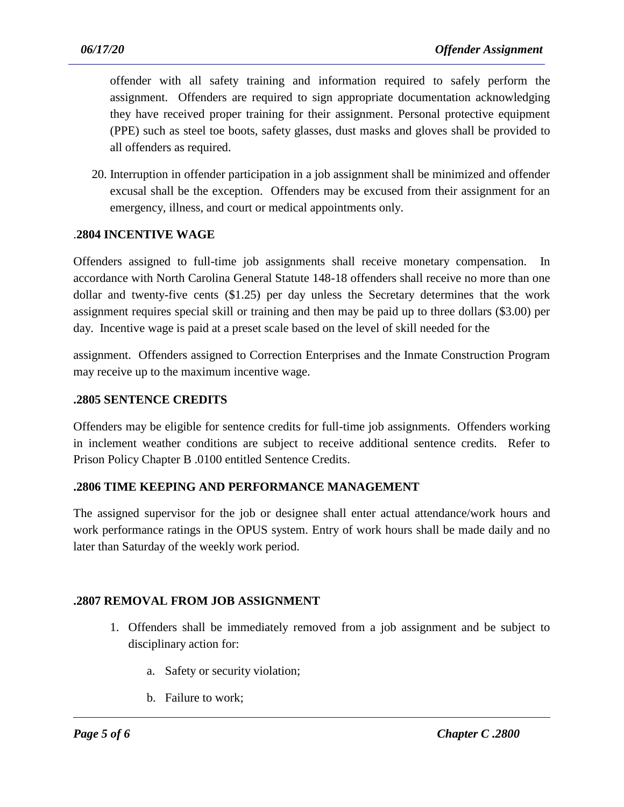offender with all safety training and information required to safely perform the assignment. Offenders are required to sign appropriate documentation acknowledging they have received proper training for their assignment. Personal protective equipment (PPE) such as steel toe boots, safety glasses, dust masks and gloves shall be provided to all offenders as required.

20. Interruption in offender participation in a job assignment shall be minimized and offender excusal shall be the exception. Offenders may be excused from their assignment for an emergency, illness, and court or medical appointments only.

### .**2804 INCENTIVE WAGE**

Offenders assigned to full-time job assignments shall receive monetary compensation. In accordance with North Carolina General Statute 148-18 offenders shall receive no more than one dollar and twenty-five cents (\$1.25) per day unless the Secretary determines that the work assignment requires special skill or training and then may be paid up to three dollars (\$3.00) per day. Incentive wage is paid at a preset scale based on the level of skill needed for the

assignment. Offenders assigned to Correction Enterprises and the Inmate Construction Program may receive up to the maximum incentive wage.

### **.2805 SENTENCE CREDITS**

Offenders may be eligible for sentence credits for full-time job assignments. Offenders working in inclement weather conditions are subject to receive additional sentence credits. Refer to Prison Policy Chapter B .0100 entitled Sentence Credits.

### **.2806 TIME KEEPING AND PERFORMANCE MANAGEMENT**

The assigned supervisor for the job or designee shall enter actual attendance/work hours and work performance ratings in the OPUS system. Entry of work hours shall be made daily and no later than Saturday of the weekly work period.

### **.2807 REMOVAL FROM JOB ASSIGNMENT**

1. Offenders shall be immediately removed from a job assignment and be subject to disciplinary action for:

- a. Safety or security violation;
- b. Failure to work;